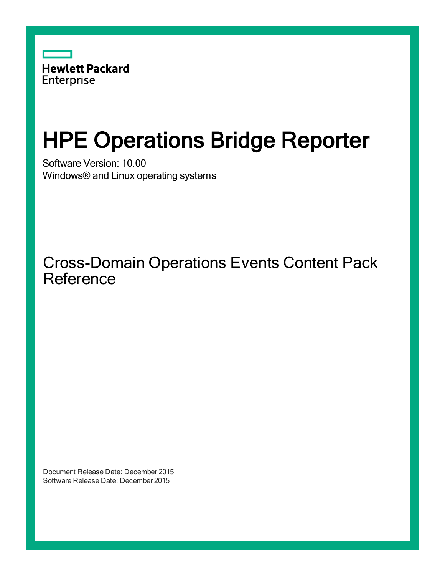

# HPE Operations Bridge Reporter

Software Version: 10.00 Windows® and Linux operating systems

Cross-Domain Operations Events Content Pack Reference

Document Release Date: December 2015 Software Release Date: December 2015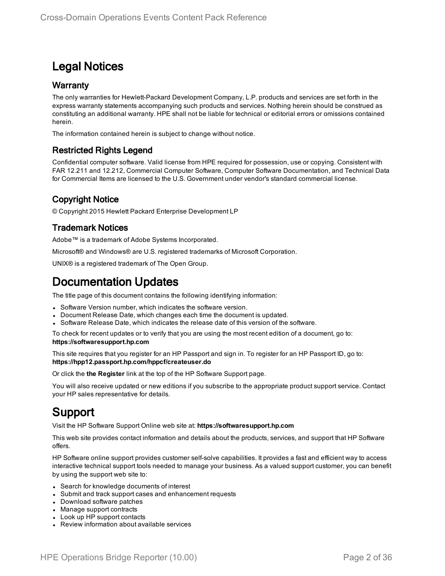### Legal Notices

#### **Warranty**

The only warranties for Hewlett-Packard Development Company, L.P. products and services are set forth in the express warranty statements accompanying such products and services. Nothing herein should be construed as constituting an additional warranty. HPE shall not be liable for technical or editorial errors or omissions contained herein.

The information contained herein is subject to change without notice.

#### Restricted Rights Legend

Confidential computer software. Valid license from HPE required for possession, use or copying. Consistent with FAR 12.211 and 12.212, Commercial Computer Software, Computer Software Documentation, and Technical Data for Commercial Items are licensed to the U.S. Government under vendor's standard commercial license.

### Copyright Notice

© Copyright 2015 Hewlett Packard Enterprise Development LP

#### Trademark Notices

Adobe™ is a trademark of Adobe Systems Incorporated.

Microsoft® and Windows® are U.S. registered trademarks of Microsoft Corporation.

UNIX® is a registered trademark of The Open Group.

### Documentation Updates

The title page of this document contains the following identifying information:

- Software Version number, which indicates the software version.
- Document Release Date, which changes each time the document is updated.
- Software Release Date, which indicates the release date of this version of the software.

To check for recent updates or to verify that you are using the most recent edition of a document, go to: **https://softwaresupport.hp.com**

This site requires that you register for an HP Passport and sign in. To register for an HP Passport ID, go to: **https://hpp12.passport.hp.com/hppcf/createuser.do**

Or click the **the Register** link at the top of the HP Software Support page.

You will also receive updated or new editions if you subscribe to the appropriate product support service. Contact your HP sales representative for details.

### Support

Visit the HP Software Support Online web site at: **https://softwaresupport.hp.com**

This web site provides contact information and details about the products, services, and support that HP Software offers.

HP Software online support provides customer self-solve capabilities. It provides a fast and efficient way to access interactive technical support tools needed to manage your business. As a valued support customer, you can benefit by using the support web site to:

- Search for knowledge documents of interest
- Submit and track support cases and enhancement requests
- Download software patches
- Manage support contracts
- Look up HP support contacts
- Review information about available services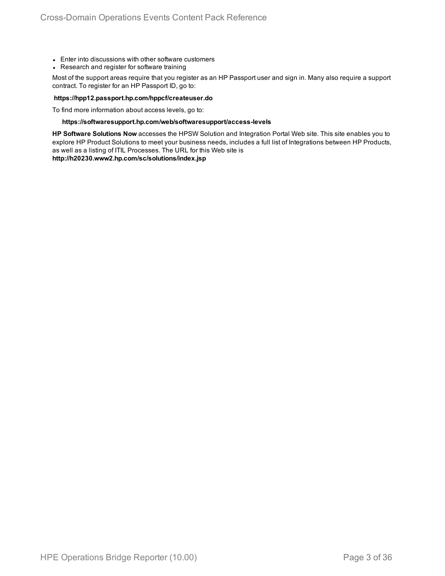- Enter into discussions with other software customers
- Research and register for software training

Most of the support areas require that you register as an HP Passport user and sign in. Many also require a support contract. To register for an HP Passport ID, go to:

#### **https://hpp12.passport.hp.com/hppcf/createuser.do**

To find more information about access levels, go to:

#### **https://softwaresupport.hp.com/web/softwaresupport/access-levels**

**HP Software Solutions Now** accesses the HPSW Solution and Integration Portal Web site. This site enables you to explore HP Product Solutions to meet your business needs, includes a full list of Integrations between HP Products, as well as a listing of ITIL Processes. The URL for this Web site is

**http://h20230.www2.hp.com/sc/solutions/index.jsp**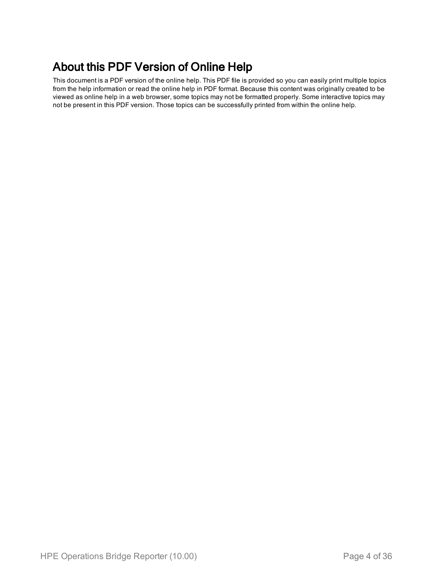### About this PDF Version of Online Help

This document is a PDF version of the online help. This PDF file is provided so you can easily print multiple topics from the help information or read the online help in PDF format. Because this content was originally created to be viewed as online help in a web browser, some topics may not be formatted properly. Some interactive topics may not be present in this PDF version. Those topics can be successfully printed from within the online help.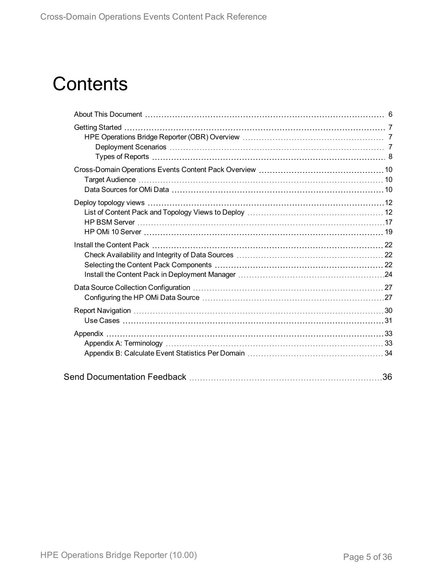# **Contents**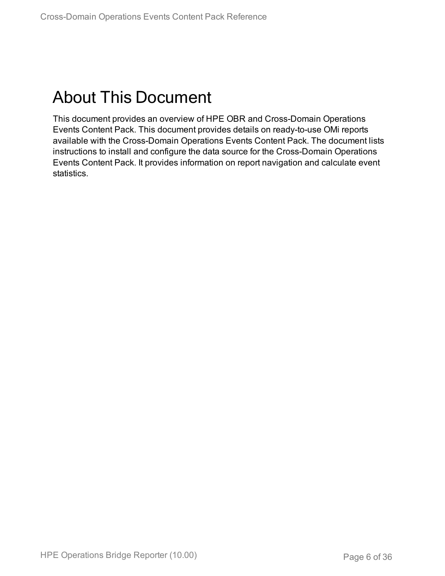# <span id="page-5-0"></span>About This Document

This document provides an overview of HPE OBR and Cross-Domain Operations Events Content Pack. This document provides details on ready-to-use OMi reports available with the Cross-Domain Operations Events Content Pack. The document lists instructions to install and configure the data source for the Cross-Domain Operations Events Content Pack. It provides information on report navigation and calculate event statistics.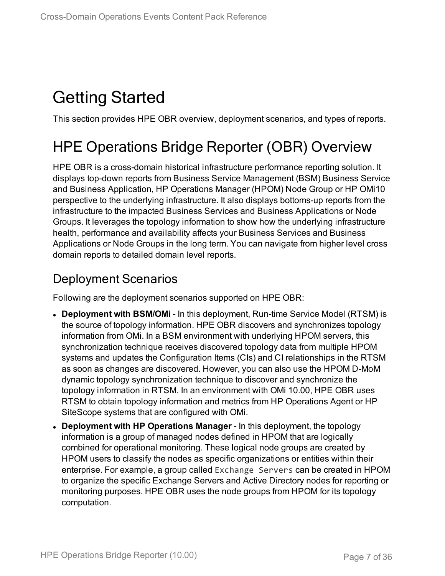# <span id="page-6-0"></span>Getting Started

<span id="page-6-1"></span>This section provides HPE OBR overview, deployment scenarios, and types of reports.

## HPE Operations Bridge Reporter (OBR) Overview

HPE OBR is a cross-domain historical infrastructure performance reporting solution. It displays top-down reports from Business Service Management (BSM) Business Service and Business Application, HP Operations Manager (HPOM) Node Group or HP OMi10 perspective to the underlying infrastructure. It also displays bottoms-up reports from the infrastructure to the impacted Business Services and Business Applications or Node Groups. It leverages the topology information to show how the underlying infrastructure health, performance and availability affects your Business Services and Business Applications or Node Groups in the long term. You can navigate from higher level cross domain reports to detailed domain level reports.

### <span id="page-6-2"></span>Deployment Scenarios

Following are the deployment scenarios supported on HPE OBR:

- **Deployment with BSM/OMi** In this deployment, Run-time Service Model (RTSM) is the source of topology information. HPE OBR discovers and synchronizes topology information from OMi. In a BSM environment with underlying HPOM servers, this synchronization technique receives discovered topology data from multiple HPOM systems and updates the Configuration Items (CIs) and CI relationships in the RTSM as soon as changes are discovered. However, you can also use the HPOM D-MoM dynamic topology synchronization technique to discover and synchronize the topology information in RTSM. In an environment with OMi 10.00, HPE OBR uses RTSM to obtain topology information and metrics from HP Operations Agent or HP SiteScope systems that are configured with OMi.
- <sup>l</sup> **Deployment with HP Operations Manager** In this deployment, the topology information is a group of managed nodes defined in HPOM that are logically combined for operational monitoring. These logical node groups are created by HPOM users to classify the nodes as specific organizations or entities within their enterprise. For example, a group called Exchange Servers can be created in HPOM to organize the specific Exchange Servers and Active Directory nodes for reporting or monitoring purposes. HPE OBR uses the node groups from HPOM for its topology computation.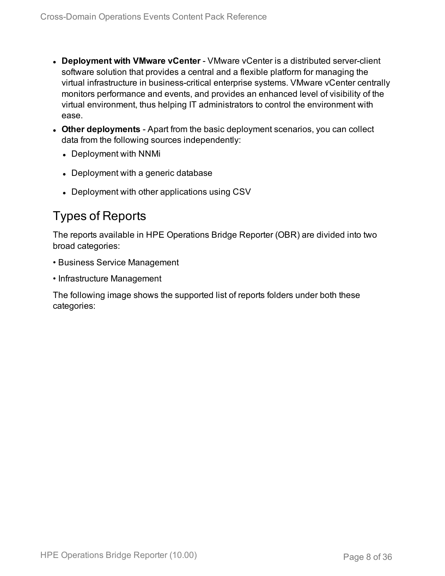- **.** Deployment with VMware vCenter VMware vCenter is a distributed server-client software solution that provides a central and a flexible platform for managing the virtual infrastructure in business-critical enterprise systems. VMware vCenter centrally monitors performance and events, and provides an enhanced level of visibility of the virtual environment, thus helping IT administrators to control the environment with ease.
- **Other deployments** Apart from the basic deployment scenarios, you can collect data from the following sources independently:
	- Deployment with NNMi
	- Deployment with a generic database
	- Deployment with other applications using CSV

### <span id="page-7-0"></span>Types of Reports

The reports available in HPE Operations Bridge Reporter (OBR) are divided into two broad categories:

- Business Service Management
- Infrastructure Management

The following image shows the supported list of reports folders under both these categories: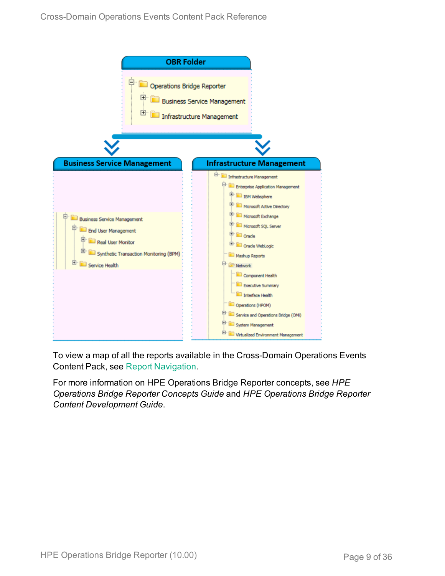

To view a map of all the reports available in the Cross-Domain Operations Events Content Pack, see Report [Navigation](#page-29-0).

For more information on HPE Operations Bridge Reporter concepts, see *HPE Operations Bridge Reporter Concepts Guide* and *HPE Operations Bridge Reporter Content Development Guide*.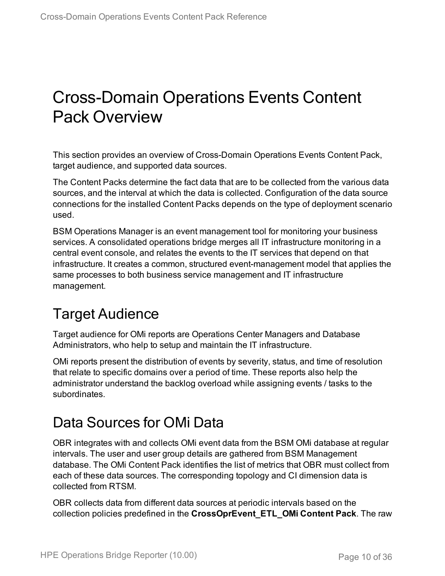# <span id="page-9-0"></span>Cross-Domain Operations Events Content Pack Overview

This section provides an overview of Cross-Domain Operations Events Content Pack, target audience, and supported data sources.

The Content Packs determine the fact data that are to be collected from the various data sources, and the interval at which the data is collected. Configuration of the data source connections for the installed Content Packs depends on the type of deployment scenario used.

BSM Operations Manager is an event management tool for monitoring your business services. A consolidated operations bridge merges all IT infrastructure monitoring in a central event console, and relates the events to the IT services that depend on that infrastructure. It creates a common, structured event-management model that applies the same processes to both business service management and IT infrastructure management.

## <span id="page-9-1"></span>Target Audience

Target audience for OMi reports are Operations Center Managers and Database Administrators, who help to setup and maintain the IT infrastructure.

OMi reports present the distribution of events by severity, status, and time of resolution that relate to specific domains over a period of time. These reports also help the administrator understand the backlog overload while assigning events / tasks to the subordinates.

## <span id="page-9-2"></span>Data Sources for OMi Data

OBR integrates with and collects OMi event data from the BSM OMi database at regular intervals. The user and user group details are gathered from BSM Management database. The OMi Content Pack identifies the list of metrics that OBR must collect from each of these data sources. The corresponding topology and CI dimension data is collected from RTSM.

OBR collects data from different data sources at periodic intervals based on the collection policies predefined in the **CrossOprEvent\_ETL\_OMi Content Pack**. The raw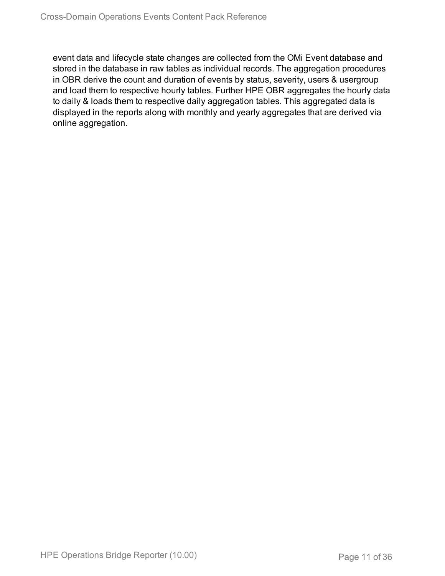event data and lifecycle state changes are collected from the OMi Event database and stored in the database in raw tables as individual records. The aggregation procedures in OBR derive the count and duration of events by status, severity, users & usergroup and load them to respective hourly tables. Further HPE OBR aggregates the hourly data to daily & loads them to respective daily aggregation tables. This aggregated data is displayed in the reports along with monthly and yearly aggregates that are derived via online aggregation.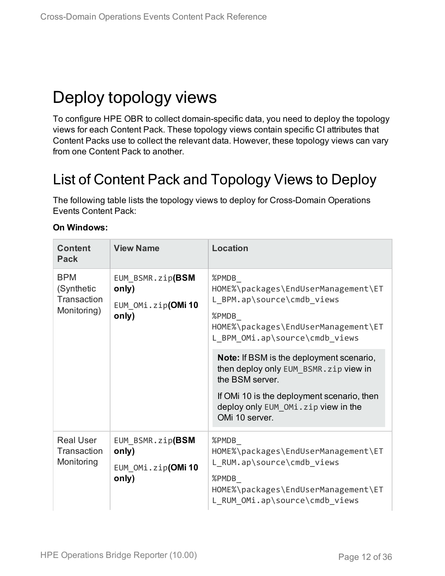# <span id="page-11-0"></span>Deploy topology views

To configure HPE OBR to collect domain-specific data, you need to deploy the topology views for each Content Pack. These topology views contain specific CI attributes that Content Packs use to collect the relevant data. However, these topology views can vary from one Content Pack to another.

## <span id="page-11-1"></span>List of Content Pack and Topology Views to Deploy

The following table lists the topology views to deploy for Cross-Domain Operations Events Content Pack:

| <b>Content</b><br><b>Pack</b>                          | <b>View Name</b>                                        | <b>Location</b>                                                                                                                                                                                                     |
|--------------------------------------------------------|---------------------------------------------------------|---------------------------------------------------------------------------------------------------------------------------------------------------------------------------------------------------------------------|
| <b>BPM</b><br>(Synthetic<br>Transaction<br>Monitoring) | EUM_BSMR.zip(BSM<br>only)<br>EUM OMi.zip(OMi10<br>only) | %PMDB<br>HOME%\packages\EndUserManagement\ET<br>L BPM.ap\source\cmdb views<br>%PMDB<br>HOME%\packages\EndUserManagement\ET<br>L BPM OMi.ap\source\cmdb views                                                        |
|                                                        |                                                         | <b>Note:</b> If BSM is the deployment scenario,<br>then deploy only EUM BSMR. zip view in<br>the BSM server.<br>If OMI 10 is the deployment scenario, then<br>deploy only EUM_OMi.zip view in the<br>OMi 10 server. |
| <b>Real User</b><br>Transaction<br>Monitoring          | EUM BSMR.zip(BSM<br>only)<br>EUM OMi.zip(OMi10<br>only) | %PMDB<br>HOME%\packages\EndUserManagement\ET<br>L RUM.ap\source\cmdb_views<br>%PMDB<br>HOME%\packages\EndUserManagement\ET<br>L RUM OMi.ap\source\cmdb views                                                        |

#### **On Windows:**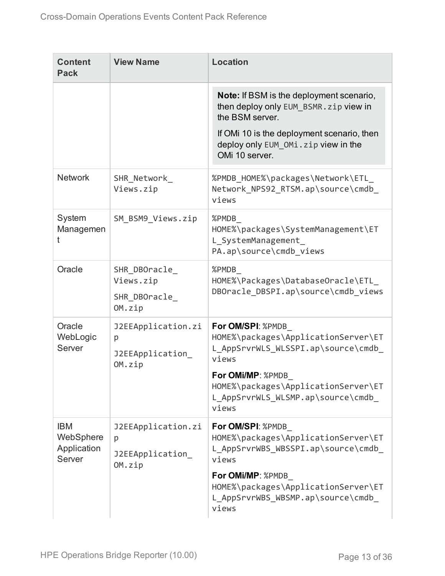| <b>Content</b><br><b>Pack</b>                    | <b>View Name</b>                                      | <b>Location</b>                                                                                                                                                                                                     |
|--------------------------------------------------|-------------------------------------------------------|---------------------------------------------------------------------------------------------------------------------------------------------------------------------------------------------------------------------|
|                                                  |                                                       | <b>Note:</b> If BSM is the deployment scenario,<br>then deploy only EUM BSMR. zip view in<br>the BSM server.<br>If OMI 10 is the deployment scenario, then<br>deploy only EUM_OMi.zip view in the<br>OMi 10 server. |
| <b>Network</b>                                   | SHR_Network_<br>Views.zip                             | %PMDB_HOME%\packages\Network\ETL_<br>Network NPS92 RTSM.ap\source\cmdb<br>views                                                                                                                                     |
| System<br>Managemen<br>t                         | SM BSM9 Views.zip                                     | %PMDB<br>HOME%\packages\SystemManagement\ET<br>L SystemManagement<br>PA.ap\source\cmdb_views                                                                                                                        |
| Oracle                                           | SHR DBOracle<br>Views.zip<br>SHR DBOracle<br>OM.zip   | %PMDB<br>HOME%\Packages\DatabaseOracle\ETL<br>DBOracle DBSPI.ap\source\cmdb views                                                                                                                                   |
| Oracle<br>WebLogic<br>Server                     | J2EEApplication.zi<br>p<br>J2EEApplication<br>OM.zip  | For OM/SPI: %PMDB<br>HOME%\packages\ApplicationServer\ET<br>L_AppSrvrWLS_WLSSPI.ap\source\cmdb_<br>views<br>For OMi/MP: %PMDB<br>HOME%\packages\ApplicationServer\ET<br>L AppSrvrWLS WLSMP.ap\source\cmdb<br>views  |
| <b>IBM</b><br>WebSphere<br>Application<br>Server | J2EEApplication.zi<br>p<br>J2EEApplication_<br>OM.zip | For OM/SPI: %PMDB<br>HOME%\packages\ApplicationServer\ET<br>L_AppSrvrWBS_WBSSPI.ap\source\cmdb_<br>views<br>For OMi/MP: %PMDB<br>HOME%\packages\ApplicationServer\ET<br>L AppSrvrWBS WBSMP.ap\source\cmdb<br>views  |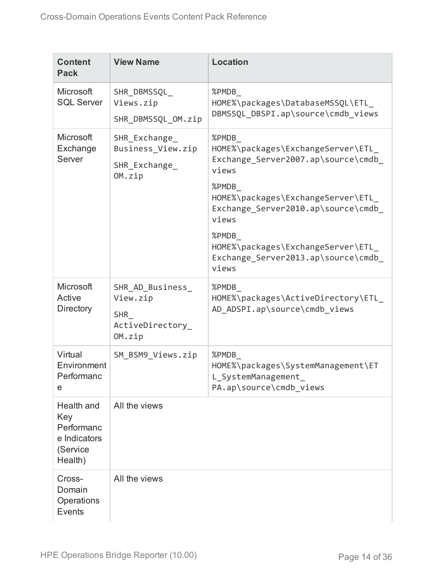| <b>Content</b><br><b>Pack</b>                                          | <b>View Name</b>                                                         | <b>Location</b>                                                                                                                                                                                                                                                                      |
|------------------------------------------------------------------------|--------------------------------------------------------------------------|--------------------------------------------------------------------------------------------------------------------------------------------------------------------------------------------------------------------------------------------------------------------------------------|
| Microsoft<br><b>SQL Server</b>                                         | SHR DBMSSQL<br>Views.zip<br>SHR_DBMSSQL_OM.zip                           | %PMDB<br>HOME%\packages\DatabaseMSSQL\ETL<br>DBMSSQL_DBSPI.ap\source\cmdb_views                                                                                                                                                                                                      |
| <b>Microsoft</b><br>Exchange<br>Server                                 | SHR_Exchange_<br>Business View.zip<br>SHR_Exchange_<br>OM.zip            | %PMDB<br>HOME%\packages\ExchangeServer\ETL<br>Exchange Server2007.ap\source\cmdb<br>views<br>%PMDB<br>HOME%\packages\ExchangeServer\ETL<br>Exchange Server2010.ap\source\cmdb<br>views<br>%PMDB<br>HOME%\packages\ExchangeServer\ETL_<br>Exchange Server2013.ap\source\cmdb<br>views |
| Microsoft<br>Active<br><b>Directory</b>                                | SHR_AD_Business_<br>View.zip<br><b>SHR</b><br>ActiveDirectory_<br>OM.zip | %PMDB<br>HOME%\packages\ActiveDirectory\ETL<br>AD ADSPI.ap\source\cmdb views                                                                                                                                                                                                         |
| Virtual<br>Environment<br>Performanc<br>e                              | SM_BSM9_Views.zip                                                        | %PMDB<br>HOME%\packages\SystemManagement\ET<br>L SystemManagement<br>PA.ap\source\cmdb_views                                                                                                                                                                                         |
| Health and<br>Key<br>Performanc<br>e Indicators<br>(Service<br>Health) | All the views                                                            |                                                                                                                                                                                                                                                                                      |
| Cross-<br>Domain<br>Operations<br>Events                               | All the views                                                            |                                                                                                                                                                                                                                                                                      |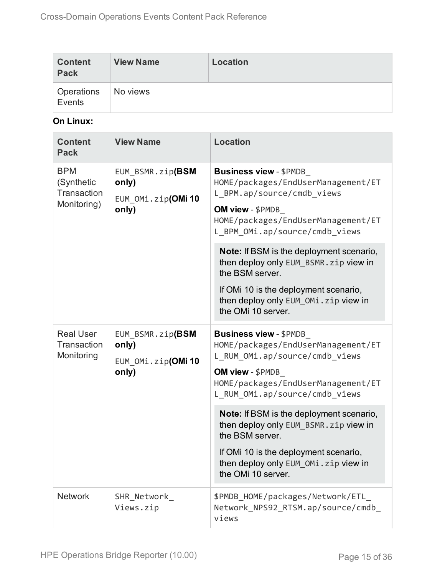| <b>Content</b><br><b>Pack</b> | <b>View Name</b> | Location |
|-------------------------------|------------------|----------|
| Operations<br>Events          | No views         |          |

### **On Linux:**

| <b>Content</b><br><b>Pack</b>                          | <b>View Name</b>                                        | <b>Location</b>                                                                                                                                                                                                                                                                                                                                                                                                   |
|--------------------------------------------------------|---------------------------------------------------------|-------------------------------------------------------------------------------------------------------------------------------------------------------------------------------------------------------------------------------------------------------------------------------------------------------------------------------------------------------------------------------------------------------------------|
| <b>BPM</b><br>(Synthetic<br>Transaction<br>Monitoring) | EUM BSMR.zip(BSM<br>only)<br>EUM OMi.zip(OMi10<br>only) | <b>Business view - \$PMDB</b><br>HOME/packages/EndUserManagement/ET<br>L BPM.ap/source/cmdb views<br>OM view - \$PMDB<br>HOME/packages/EndUserManagement/ET<br>L BPM OMi.ap/source/cmdb views<br>Note: If BSM is the deployment scenario,<br>then deploy only EUM_BSMR.zip view in<br>the BSM server.<br>If OMi 10 is the deployment scenario,<br>then deploy only EUM_OMi.zip view in<br>the OMi 10 server.      |
| <b>Real User</b><br>Transaction<br>Monitoring          | EUM BSMR.zip(BSM<br>only)<br>EUM OMi.zip(OMi10<br>only) | <b>Business view - \$PMDB</b><br>HOME/packages/EndUserManagement/ET<br>L RUM OMi.ap/source/cmdb views<br>OM view - \$PMDB<br>HOME/packages/EndUserManagement/ET<br>L_RUM_OMi.ap/source/cmdb_views<br>Note: If BSM is the deployment scenario,<br>then deploy only EUM BSMR. zip view in<br>the BSM server.<br>If OMi 10 is the deployment scenario,<br>then deploy only EUM_OMi.zip view in<br>the OMi 10 server. |
| <b>Network</b>                                         | SHR_Network_<br>Views.zip                               | \$PMDB_HOME/packages/Network/ETL_<br>Network NPS92 RTSM.ap/source/cmdb<br>views                                                                                                                                                                                                                                                                                                                                   |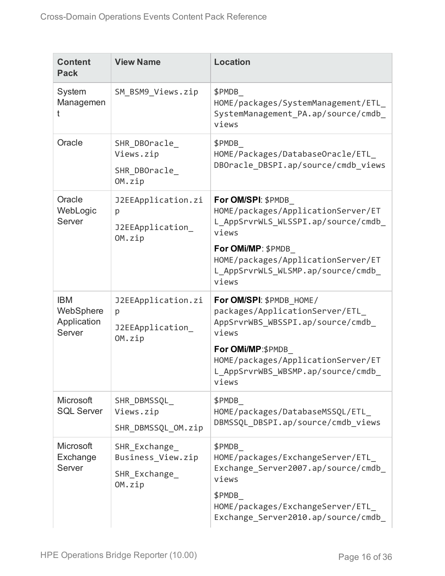| <b>Content</b><br><b>Pack</b>                    | <b>View Name</b>                                            | <b>Location</b>                                                                                                                                                                                                    |
|--------------------------------------------------|-------------------------------------------------------------|--------------------------------------------------------------------------------------------------------------------------------------------------------------------------------------------------------------------|
| System<br>Managemen                              | SM_BSM9_Views.zip                                           | \$PMDB<br>HOME/packages/SystemManagement/ETL<br>SystemManagement_PA.ap/source/cmdb_<br>views                                                                                                                       |
| Oracle                                           | SHR DBOracle<br>Views.zip<br>SHR DBOracle<br>OM.zip         | \$PMDB<br>HOME/Packages/DatabaseOracle/ETL<br>DBOracle_DBSPI.ap/source/cmdb_views                                                                                                                                  |
| Oracle<br>WebLogic<br>Server                     | J2EEApplication.zi<br>p<br>J2EEApplication<br>OM.zip        | For OM/SPI: \$PMDB<br>HOME/packages/ApplicationServer/ET<br>L AppSrvrWLS WLSSPI.ap/source/cmdb<br>views<br>For OMi/MP: \$PMDB<br>HOME/packages/ApplicationServer/ET<br>L_AppSrvrWLS_WLSMP.ap/source/cmdb_<br>views |
| <b>IBM</b><br>WebSphere<br>Application<br>Server | J2EEApplication.zi<br>p<br>J2EEApplication<br>OM.zip        | For OM/SPI: \$PMDB HOME/<br>packages/ApplicationServer/ETL<br>AppSrvrWBS_WBSSPI.ap/source/cmdb_<br>views<br>For OMi/MP:\$PMDB<br>HOME/packages/ApplicationServer/ET<br>L AppSrvrWBS WBSMP.ap/source/cmdb<br>views  |
| Microsoft<br><b>SQL Server</b>                   | SHR DBMSSQL<br>Views.zip<br>SHR DBMSSQL OM.zip              | \$PMDB<br>HOME/packages/DatabaseMSSQL/ETL<br>DBMSSQL DBSPI.ap/source/cmdb views                                                                                                                                    |
| Microsoft<br>Exchange<br>Server                  | SHR Exchange<br>Business View.zip<br>SHR Exchange<br>OM.zip | \$PMDB<br>HOME/packages/ExchangeServer/ETL<br>Exchange Server2007.ap/source/cmdb<br>views<br>\$PMDB<br>HOME/packages/ExchangeServer/ETL<br>Exchange Server2010.ap/source/cmdb                                      |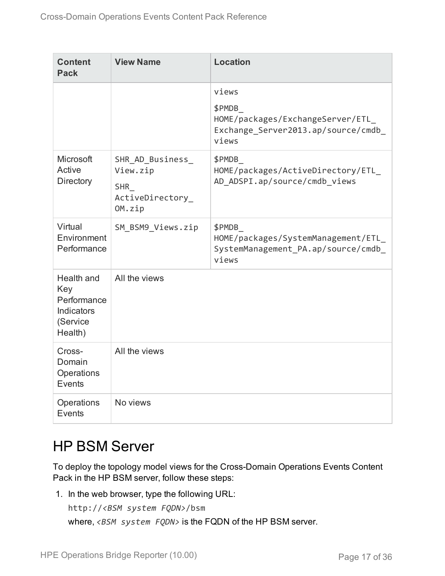| <b>Content</b><br><b>Pack</b>                                         | <b>View Name</b>                                                         | <b>Location</b>                                                                                    |
|-----------------------------------------------------------------------|--------------------------------------------------------------------------|----------------------------------------------------------------------------------------------------|
|                                                                       |                                                                          | views<br>\$PMDB<br>HOME/packages/ExchangeServer/ETL<br>Exchange Server2013.ap/source/cmdb<br>views |
| <b>Microsoft</b><br>Active<br>Directory                               | SHR_AD_Business_<br>View.zip<br><b>SHR</b><br>ActiveDirectory_<br>OM.zip | \$PMDB<br>HOME/packages/ActiveDirectory/ETL<br>AD ADSPI.ap/source/cmdb views                       |
| Virtual<br>Environment<br>Performance                                 | SM BSM9 Views.zip                                                        | \$PMDB<br>HOME/packages/SystemManagement/ETL<br>SystemManagement_PA.ap/source/cmdb_<br>views       |
| Health and<br>Key<br>Performance<br>Indicators<br>(Service<br>Health) | All the views                                                            |                                                                                                    |
| Cross-<br>Domain<br>Operations<br>Events                              | All the views                                                            |                                                                                                    |
| Operations<br>Events                                                  | No views                                                                 |                                                                                                    |

## <span id="page-16-0"></span>HP BSM Server

To deploy the topology model views for the Cross-Domain Operations Events Content Pack in the HP BSM server, follow these steps:

1. In the web browser, type the following URL:

```
http://<BSM system FQDN>/bsm
where, <BSM system FQDN> is the FQDN of the HP BSM server.
```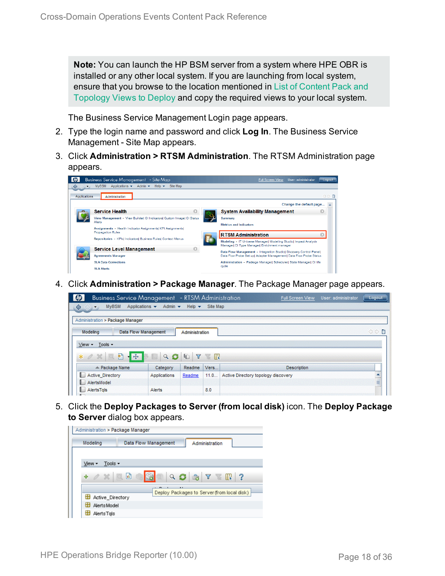**Note:** You can launch the HP BSM server from a system where HPE OBR is installed or any other local system. If you are launching from local system, ensure that you browse to the location mentioned in List of [Content](#page-11-1) Pack and [Topology](#page-11-1) Views to Deploy and copy the required views to your local system.

The Business Service Management Login page appears.

- 2. Type the login name and password and click **Log In**. The Business Service Management - Site Map appears.
- 3. Click **Administration > RTSM Administration**. The RTSM Administration page appears.

|              | <b>Business Service Management</b> - Site Map                                            | <b>Full Screen View</b><br>User: administrator<br>Logout                                                         |  |  |
|--------------|------------------------------------------------------------------------------------------|------------------------------------------------------------------------------------------------------------------|--|--|
| ⇔            | Applications $\star$ Admin $\star$ Help $\star$<br><b>MyBSM</b><br>Site Map              |                                                                                                                  |  |  |
| Applications | Administration                                                                           | ◁▷■                                                                                                              |  |  |
|              |                                                                                          | Change the default page                                                                                          |  |  |
|              | <b>Service Health</b>                                                                    | <b>System Availability Management</b><br>O                                                                       |  |  |
|              | View Management - View Builder  CI Indicators  Custom Image  CI Status                   | Summary                                                                                                          |  |  |
|              | Alerts                                                                                   | <b>Metrics and Indicators</b>                                                                                    |  |  |
|              | Assignments - Health Indicator Assignments  KPI Assignments <br><b>Propagation Rules</b> | <b>RTSM Administration</b>                                                                                       |  |  |
|              | Repositories - KPIs  Indicators  Business Rules  Context Menus                           |                                                                                                                  |  |  |
|              |                                                                                          | Modeling - IT Universe Manager  Modeling Studio  Impact Analysis<br>Manager  CI Type Manager  Enrichment manager |  |  |
|              | <b>Service Level Management</b>                                                          | Data Flow Management - Integration Studio  Discovery Control Panel                                               |  |  |
|              | <b>Agreements Manager</b>                                                                | Data Flow Probe Set up  Adapter Management  Data Flow Probe Status                                               |  |  |
|              | <b>SLA Data Corrections</b>                                                              | Administration - Package Manager  Scheduler  State Manager  CI life                                              |  |  |
|              | <b>SLA Alerts</b>                                                                        | ovde                                                                                                             |  |  |

4. Click **Administration > Package Manager**. The Package Manager page appears.

| <b>Business Service Management</b> - RTSM Administration |                                                                  |                           |          | User: administrator<br><b>Full Screen View</b> | Logout |
|----------------------------------------------------------|------------------------------------------------------------------|---------------------------|----------|------------------------------------------------|--------|
| <b>MyBSM</b><br>$\Leftrightarrow$                        | Applications $\blacktriangledown$<br>Admin $\blacktriangleright$ | Help $\blacktriangledown$ | Site Map |                                                |        |
| Administration > Package Manager                         |                                                                  |                           |          |                                                |        |
| Modeling                                                 | <b>Data Flow Management</b>                                      | Administration            |          |                                                | ○○日    |
| Tools -<br>$View -$                                      |                                                                  |                           |          |                                                |        |
| Ð<br>$-1.456$<br>$*$ $\alpha$                            | Q                                                                | G<br>Y                    | KI       |                                                |        |
| $\angle$ Package Name                                    | Category                                                         | Readme                    | Vers     | <b>Description</b>                             |        |
| <b>Active Directory</b>                                  | Applications                                                     | Readme                    | 11.0     | Active Directory topology discovery            |        |
| AlertsModel                                              |                                                                  |                           |          |                                                | E      |
| AlertsTals<br>L.                                         | Alerts                                                           |                           | 8.0      |                                                |        |

5. Click the **Deploy Packages to Server (from local disk)** icon. The **Deploy Package to Server** dialog box appears.

| Administration > Package Manager |                      |                                                 |
|----------------------------------|----------------------|-------------------------------------------------|
| Modeling                         | Data Flow Management | Administration                                  |
|                                  |                      |                                                 |
| Tools $\sim$<br>View -           |                      |                                                 |
| $\alpha \times \alpha$<br>÷      | Q                    | $\bullet \quad \nabla \quad \mathbb{R} \quad ?$ |
|                                  | л.                   | Deploy Packages to Server (from local disk)     |
| Active Directory                 |                      |                                                 |
| H<br><b>Alerts Model</b>         |                      |                                                 |
| н<br>AlertsTals                  |                      |                                                 |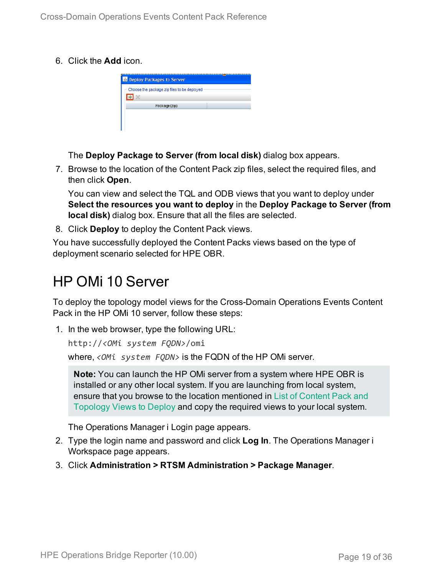6. Click the **Add** icon.

| <b>Deploy Packages to Server</b>            |  |
|---------------------------------------------|--|
| Choose the package zip files to be deployed |  |
|                                             |  |
| Package(zip)                                |  |
|                                             |  |
|                                             |  |

The **Deploy Package to Server (from local disk)** dialog box appears.

7. Browse to the location of the Content Pack zip files, select the required files, and then click **Open**.

You can view and select the TQL and ODB views that you want to deploy under **Select the resources you want to deploy** in the **Deploy Package to Server (from local disk)** dialog box. Ensure that all the files are selected.

8. Click **Deploy** to deploy the Content Pack views.

You have successfully deployed the Content Packs views based on the type of deployment scenario selected for HPE OBR.

## <span id="page-18-0"></span>HP OMi 10 Server

To deploy the topology model views for the Cross-Domain Operations Events Content Pack in the HP OMi 10 server, follow these steps:

1. In the web browser, type the following URL:

```
http://<OMi system FQDN>/omi
```
where, *<OMi system FQDN>* is the FQDN of the HP OMi server.

**Note:** You can launch the HP OMi server from a system where HPE OBR is installed or any other local system. If you are launching from local system, ensure that you browse to the location mentioned in List of [Content](#page-11-1) Pack and [Topology](#page-11-1) Views to Deploy and copy the required views to your local system.

The Operations Manager i Login page appears.

- 2. Type the login name and password and click **Log In**. The Operations Manager i Workspace page appears.
- 3. Click **Administration > RTSM Administration > Package Manager**.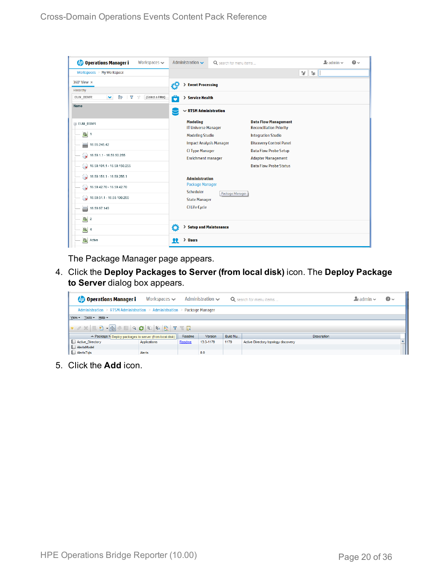| <b>Operations Manager i</b><br>Workspaces $\smile$                       | Administration $\sim$                         | Q search for menu items |                                                               | $\mathbf{L}$ admin $\sim$ | $\bullet$ |
|--------------------------------------------------------------------------|-----------------------------------------------|-------------------------|---------------------------------------------------------------|---------------------------|-----------|
| Workspaces $>$ My Workspace                                              |                                               |                         |                                                               | ۴ď<br>L.                  |           |
| 360° View x                                                              | > Event Processing<br>ł.                      |                         |                                                               |                           |           |
| Hierarchy                                                                |                                               |                         |                                                               |                           |           |
| Þ<br>EUM BSMR<br>v<br>Y<br>[Select a Filter]<br>$\overline{\mathcal{A}}$ | ô<br>> Service Health                         |                         |                                                               |                           |           |
| <b>Name</b>                                                              | $\backsim$ RTSM Administration                |                         |                                                               |                           |           |
| E EUM_BSMR                                                               | <b>Modeling</b><br><b>IT Universe Manager</b> |                         | <b>Data Flow Management</b><br><b>Reconciliation Priority</b> |                           |           |
| $\boxed{0}$ 1                                                            | <b>Modeling Studio</b>                        |                         | <b>Integration Studio</b>                                     |                           |           |
| U<br>16.55.245.42                                                        | <b>Impact Analysis Manager</b>                |                         | <b>Discovery Control Panel</b>                                |                           |           |
| $\bigotimes$ 16.59.1.1 - 16.59.50.255                                    | <b>CI Type Manager</b>                        |                         | <b>Data Flow Probe Setup</b>                                  |                           |           |
|                                                                          | <b>Enrichment manager</b>                     |                         | <b>Adapter Management</b>                                     |                           |           |
| $\bigcirc$ 16.59.101.1 - 16.59.150.255                                   |                                               |                         | <b>Data Flow Probe Status</b>                                 |                           |           |
| $\bigcirc$ 16.59.151.1 - 16.59.255.1                                     | <b>Administration</b>                         |                         |                                                               |                           |           |
| 16.59.42.70 - 16.59.42.70                                                | <b>Package Manager</b>                        |                         |                                                               |                           |           |
|                                                                          | Scheduler                                     | Package Manager         |                                                               |                           |           |
|                                                                          | <b>State Manager</b>                          |                         |                                                               |                           |           |
| 16.59.67.149<br>▄                                                        | <b>CI Life Cycle</b>                          |                         |                                                               |                           |           |
| $\left[ \bigcirc \right]$ 2                                              |                                               |                         |                                                               |                           |           |
| $\bigcirc$ 4                                                             | Ö<br>> Setup and Maintenance                  |                         |                                                               |                           |           |
| Active                                                                   | > Users<br>22                                 |                         |                                                               |                           |           |

The Package Manager page appears.

4. Click the **Deploy Packages to Server (from local disk)** icon. The **Deploy Package to Server** dialog box appears.

| <b>Operations Manager i</b>                                             | Workspaces $\smile$ |        | Administration $\sim$ |          | Q search for menu items             | $\lambda_i$ admin $\sim$ | $\odot$ |
|-------------------------------------------------------------------------|---------------------|--------|-----------------------|----------|-------------------------------------|--------------------------|---------|
| Administration > RTSM Administration > Administration > Package Manager |                     |        |                       |          |                                     |                          |         |
| View - Tools - Help -                                                   |                     |        |                       |          |                                     |                          |         |
|                                                                         |                     |        |                       |          |                                     |                          |         |
| ≐ Package N Deploy packages to server (from local disk)                 |                     | Readme | <b>Version</b>        | Build Nu | <b>Description</b>                  |                          |         |
| Active_Directory                                                        | Applications        | Readme | 13.0-1179             | 1179     | Active Directory topology discovery |                          |         |
| AlertsModel                                                             |                     |        |                       |          |                                     |                          |         |
| AlertsTqls                                                              | Alerts              |        | 8.0                   |          |                                     |                          |         |

5. Click the **Add** icon.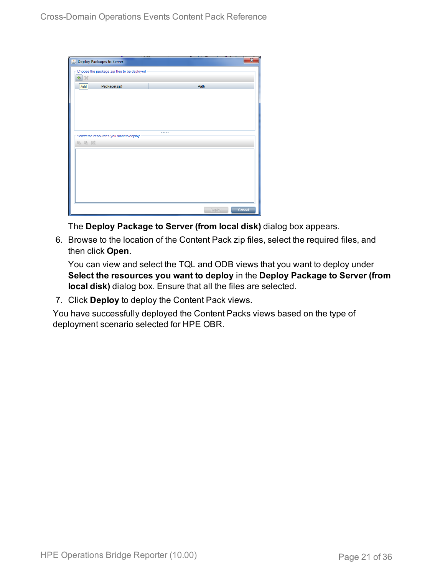| Deploy Packages to Server                   |        |        |
|---------------------------------------------|--------|--------|
| Choose the package zip files to be deployed |        |        |
| 臺<br>$\chi$                                 |        |        |
| Package(zip)<br>Add                         | Path   |        |
|                                             |        |        |
|                                             |        |        |
|                                             |        |        |
|                                             |        |        |
|                                             |        |        |
| Select the resources you want to deploy     |        |        |
| 名马路                                         |        |        |
|                                             |        |        |
|                                             |        |        |
|                                             |        |        |
|                                             |        |        |
|                                             |        |        |
|                                             |        |        |
|                                             |        |        |
|                                             | Deploy | Cancel |

The **Deploy Package to Server (from local disk)** dialog box appears.

6. Browse to the location of the Content Pack zip files, select the required files, and then click **Open**.

You can view and select the TQL and ODB views that you want to deploy under **Select the resources you want to deploy** in the **Deploy Package to Server (from local disk)** dialog box. Ensure that all the files are selected.

7. Click **Deploy** to deploy the Content Pack views.

You have successfully deployed the Content Packs views based on the type of deployment scenario selected for HPE OBR.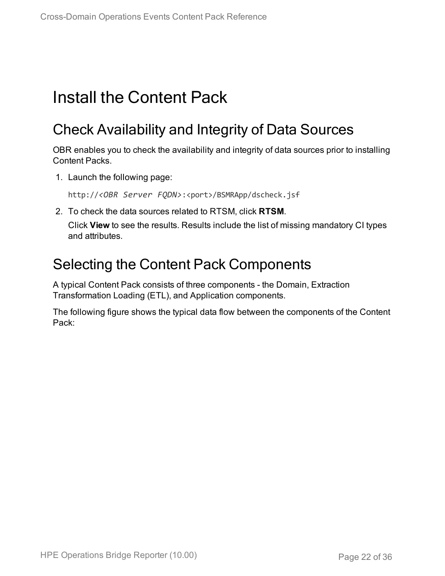# <span id="page-21-1"></span><span id="page-21-0"></span>Install the Content Pack

## Check Availability and Integrity of Data Sources

OBR enables you to check the availability and integrity of data sources prior to installing Content Packs.

1. Launch the following page:

http://*<OBR Server FQDN>*:<port>/BSMRApp/dscheck.jsf

2. To check the data sources related to RTSM, click **RTSM**.

Click **View** to see the results. Results include the list of missing mandatory CI types and attributes.

### <span id="page-21-2"></span>Selecting the Content Pack Components

A typical Content Pack consists of three components - the Domain, Extraction Transformation Loading (ETL), and Application components.

The following figure shows the typical data flow between the components of the Content Pack: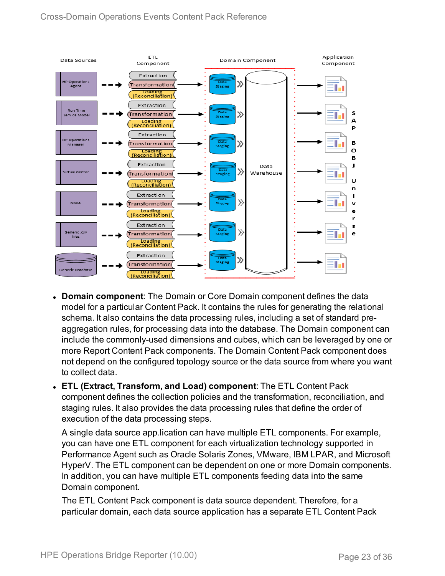

- **Domain component**: The Domain or Core Domain component defines the data model for a particular Content Pack. It contains the rules for generating the relational schema. It also contains the data processing rules, including a set of standard preaggregation rules, for processing data into the database. The Domain component can include the commonly-used dimensions and cubes, which can be leveraged by one or more Report Content Pack components. The Domain Content Pack component does not depend on the configured topology source or the data source from where you want to collect data.
- <sup>l</sup> **ETL (Extract, Transform, and Load) component**: The ETL Content Pack component defines the collection policies and the transformation, reconciliation, and staging rules. It also provides the data processing rules that define the order of execution of the data processing steps.

A single data source app.lication can have multiple ETL components. For example, you can have one ETL component for each virtualization technology supported in Performance Agent such as Oracle Solaris Zones, VMware, IBM LPAR, and Microsoft HyperV. The ETL component can be dependent on one or more Domain components. In addition, you can have multiple ETL components feeding data into the same Domain component.

The ETL Content Pack component is data source dependent. Therefore, for a particular domain, each data source application has a separate ETL Content Pack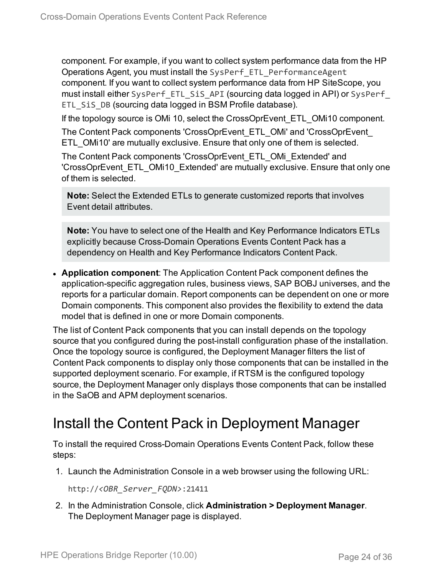component. For example, if you want to collect system performance data from the HP Operations Agent, you must install the SysPerf\_ETL\_PerformanceAgent component. If you want to collect system performance data from HP SiteScope, you must install either SysPerf\_ETL\_SiS\_API (sourcing data logged in API) or SysPerf\_ ETL SiS DB (sourcing data logged in BSM Profile database).

If the topology source is OMi 10, select the CrossOprEvent\_ETL\_OMi10 component. The Content Pack components 'CrossOprEvent\_ETL\_OMi' and 'CrossOprEvent\_

ETL OMi10' are mutually exclusive. Ensure that only one of them is selected.

The Content Pack components 'CrossOprEvent\_ETL\_OMi\_Extended' and 'CrossOprEvent\_ETL\_OMi10\_Extended' are mutually exclusive. Ensure that only one of them is selected.

**Note:** Select the Extended ETLs to generate customized reports that involves Event detail attributes.

**Note:** You have to select one of the Health and Key Performance Indicators ETLs explicitly because Cross-Domain Operations Events Content Pack has a dependency on Health and Key Performance Indicators Content Pack.

**Application component**: The Application Content Pack component defines the application-specific aggregation rules, business views, SAP BOBJ universes, and the reports for a particular domain. Report components can be dependent on one or more Domain components. This component also provides the flexibility to extend the data model that is defined in one or more Domain components.

The list of Content Pack components that you can install depends on the topology source that you configured during the post-install configuration phase of the installation. Once the topology source is configured, the Deployment Manager filters the list of Content Pack components to display only those components that can be installed in the supported deployment scenario. For example, if RTSM is the configured topology source, the Deployment Manager only displays those components that can be installed in the SaOB and APM deployment scenarios.

## <span id="page-23-0"></span>Install the Content Pack in Deployment Manager

To install the required Cross-Domain Operations Events Content Pack, follow these steps:

1. Launch the Administration Console in a web browser using the following URL:

http://*<OBR\_Server\_FQDN>*:21411

2. In the Administration Console, click **Administration > Deployment Manager**. The Deployment Manager page is displayed.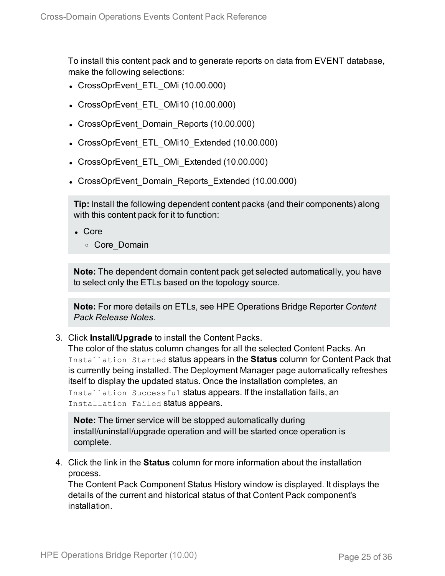To install this content pack and to generate reports on data from EVENT database, make the following selections:

- CrossOprEvent ETL OMi (10.00.000)
- CrossOprEvent ETL OMi10 (10.00.000)
- CrossOprEvent Domain Reports (10.00.000)
- CrossOprEvent ETL OMi10 Extended (10.00.000)
- CrossOprEvent ETL OMi Extended (10.00.000)
- CrossOprEvent Domain Reports Extended (10.00.000)

**Tip:** Install the following dependent content packs (and their components) along with this content pack for it to function:

- $\bullet$  Core
	- <sup>o</sup> Core\_Domain

**Note:** The dependent domain content pack get selected automatically, you have to select only the ETLs based on the topology source.

**Note:** For more details on ETLs, see HPE Operations Bridge Reporter *Content Pack Release Notes*.

3. Click **Install/Upgrade** to install the Content Packs.

The color of the status column changes for all the selected Content Packs. An Installation Started status appears in the **Status** column for Content Pack that is currently being installed. The Deployment Manager page automatically refreshes itself to display the updated status. Once the installation completes, an Installation Successful status appears. If the installation fails, an Installation Failed status appears.

**Note:** The timer service will be stopped automatically during install/uninstall/upgrade operation and will be started once operation is complete.

4. Click the link in the **Status** column for more information about the installation process.

The Content Pack Component Status History window is displayed. It displays the details of the current and historical status of that Content Pack component's installation.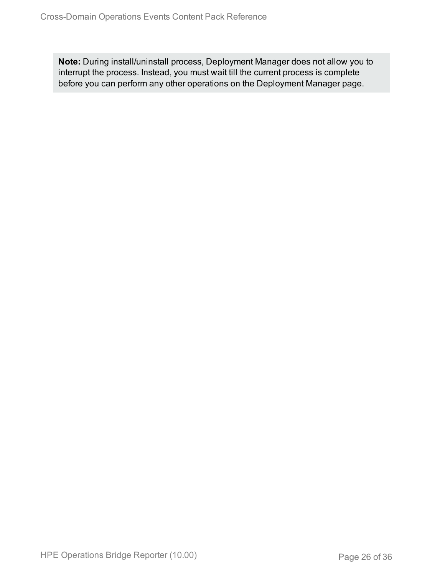**Note:** During install/uninstall process, Deployment Manager does not allow you to interrupt the process. Instead, you must wait till the current process is complete before you can perform any other operations on the Deployment Manager page.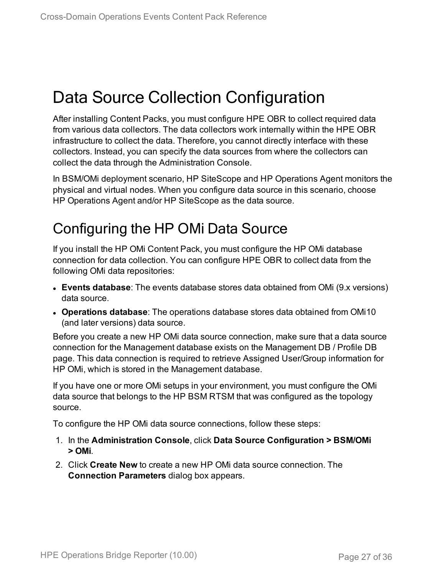# <span id="page-26-0"></span>Data Source Collection Configuration

After installing Content Packs, you must configure HPE OBR to collect required data from various data collectors. The data collectors work internally within the HPE OBR infrastructure to collect the data. Therefore, you cannot directly interface with these collectors. Instead, you can specify the data sources from where the collectors can collect the data through the Administration Console.

In BSM/OMi deployment scenario, HP SiteScope and HP Operations Agent monitors the physical and virtual nodes. When you configure data source in this scenario, choose HP Operations Agent and/or HP SiteScope as the data source.

## <span id="page-26-1"></span>Configuring the HP OMi Data Source

If you install the HP OMi Content Pack, you must configure the HP OMi database connection for data collection. You can configure HPE OBR to collect data from the following OMi data repositories:

- **Events database**: The events database stores data obtained from OMi (9.x versions) data source.
- <sup>l</sup> **Operations database**: The operations database stores data obtained from OMi10 (and later versions) data source.

Before you create a new HP OMi data source connection, make sure that a data source connection for the Management database exists on the Management DB / Profile DB page. This data connection is required to retrieve Assigned User/Group information for HP OMi, which is stored in the Management database.

If you have one or more OMi setups in your environment, you must configure the OMi data source that belongs to the HP BSM RTSM that was configured as the topology source.

To configure the HP OMi data source connections, follow these steps:

- 1. In the **Administration Console**, click **Data Source Configuration > BSM/OMi > OMi**.
- 2. Click **Create New** to create a new HP OMi data source connection. The **Connection Parameters** dialog box appears.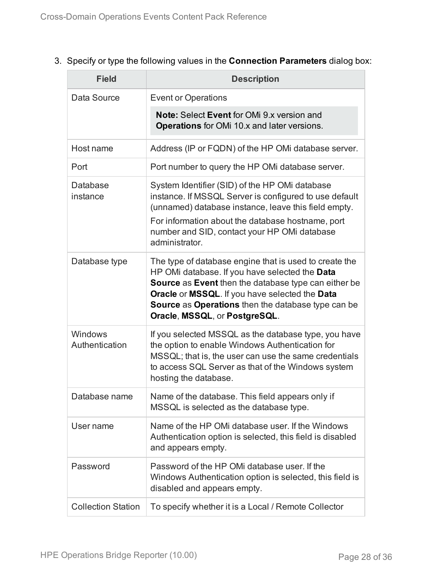### 3. Specify or type the following values in the **Connection Parameters** dialog box:

| <b>Field</b>              | <b>Description</b>                                                                                                                                                                                                                                                                                                      |
|---------------------------|-------------------------------------------------------------------------------------------------------------------------------------------------------------------------------------------------------------------------------------------------------------------------------------------------------------------------|
| Data Source               | <b>Event or Operations</b>                                                                                                                                                                                                                                                                                              |
|                           | <b>Note: Select Event for OMi 9.x version and</b><br>Operations for OMi 10.x and later versions.                                                                                                                                                                                                                        |
| Host name                 | Address (IP or FQDN) of the HP OMi database server.                                                                                                                                                                                                                                                                     |
| Port                      | Port number to query the HP OMi database server.                                                                                                                                                                                                                                                                        |
| Database<br>instance      | System Identifier (SID) of the HP OMi database<br>instance. If MSSQL Server is configured to use default<br>(unnamed) database instance, leave this field empty.<br>For information about the database hostname, port<br>number and SID, contact your HP OMi database<br>administrator.                                 |
| Database type             | The type of database engine that is used to create the<br>HP OMi database. If you have selected the Data<br><b>Source</b> as Event then the database type can either be<br>Oracle or MSSQL. If you have selected the Data<br><b>Source as Operations</b> then the database type can be<br>Oracle, MSSQL, or PostgreSQL. |
| Windows<br>Authentication | If you selected MSSQL as the database type, you have<br>the option to enable Windows Authentication for<br>MSSQL; that is, the user can use the same credentials<br>to access SQL Server as that of the Windows system<br>hosting the database.                                                                         |
| Database name             | Name of the database. This field appears only if<br>MSSQL is selected as the database type.                                                                                                                                                                                                                             |
| User name                 | Name of the HP OMi database user. If the Windows<br>Authentication option is selected, this field is disabled<br>and appears empty.                                                                                                                                                                                     |
| Password                  | Password of the HP OMi database user. If the<br>Windows Authentication option is selected, this field is<br>disabled and appears empty.                                                                                                                                                                                 |
| <b>Collection Station</b> | To specify whether it is a Local / Remote Collector                                                                                                                                                                                                                                                                     |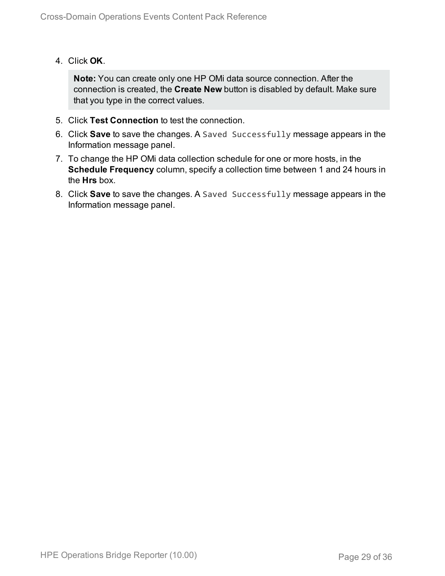4. Click **OK**.

**Note:** You can create only one HP OMi data source connection. After the connection is created, the **Create New** button is disabled by default. Make sure that you type in the correct values.

- 5. Click **Test Connection** to test the connection.
- 6. Click **Save** to save the changes. A Saved Successfully message appears in the Information message panel.
- 7. To change the HP OMi data collection schedule for one or more hosts, in the **Schedule Frequency** column, specify a collection time between 1 and 24 hours in the **Hrs** box.
- 8. Click **Save** to save the changes. A Saved Successfully message appears in the Information message panel.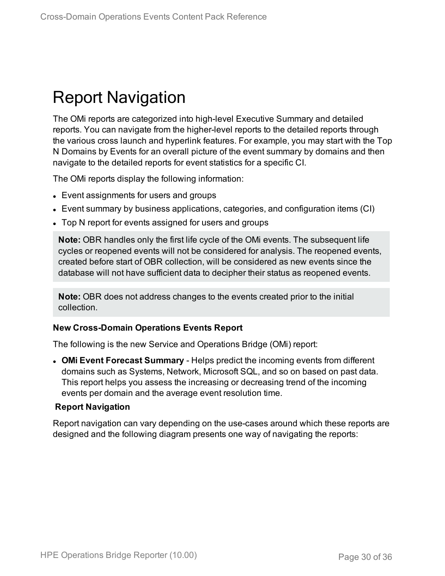# <span id="page-29-0"></span>Report Navigation

The OMi reports are categorized into high-level Executive Summary and detailed reports. You can navigate from the higher-level reports to the detailed reports through the various cross launch and hyperlink features. For example, you may start with the Top N Domains by Events for an overall picture of the event summary by domains and then navigate to the detailed reports for event statistics for a specific CI.

The OMi reports display the following information:

- Event assignments for users and groups
- Event summary by business applications, categories, and configuration items (CI)
- Top N report for events assigned for users and groups

**Note:** OBR handles only the first life cycle of the OMi events. The subsequent life cycles or reopened events will not be considered for analysis. The reopened events, created before start of OBR collection, will be considered as new events since the database will not have sufficient data to decipher their status as reopened events.

**Note:** OBR does not address changes to the events created prior to the initial collection.

#### **New Cross-Domain Operations Events Report**

The following is the new Service and Operations Bridge (OMi) report:

**• OMi Event Forecast Summary** - Helps predict the incoming events from different domains such as Systems, Network, Microsoft SQL, and so on based on past data. This report helps you assess the increasing or decreasing trend of the incoming events per domain and the average event resolution time.

#### **Report Navigation**

Report navigation can vary depending on the use-cases around which these reports are designed and the following diagram presents one way of navigating the reports: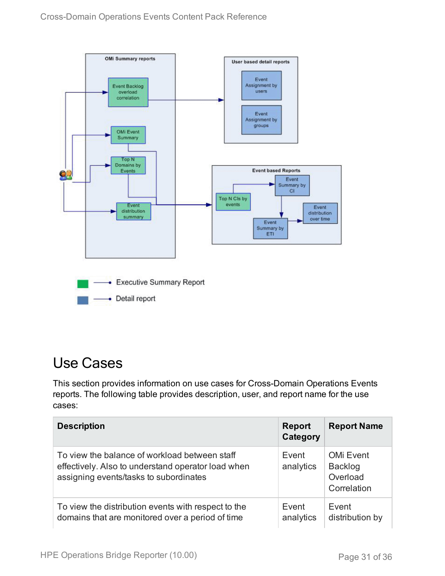

## <span id="page-30-0"></span>Use Cases

This section provides information on use cases for Cross-Domain Operations Events reports. The following table provides description, user, and report name for the use cases:

| <b>Description</b>                                                                                                                            | <b>Report</b><br>Category | <b>Report Name</b>                                            |
|-----------------------------------------------------------------------------------------------------------------------------------------------|---------------------------|---------------------------------------------------------------|
| To view the balance of workload between staff<br>effectively. Also to understand operator load when<br>assigning events/tasks to subordinates | Event<br>analytics        | <b>OMi Event</b><br><b>Backlog</b><br>Overload<br>Correlation |
| To view the distribution events with respect to the<br>domains that are monitored over a period of time                                       | Event<br>analytics        | Event<br>distribution by                                      |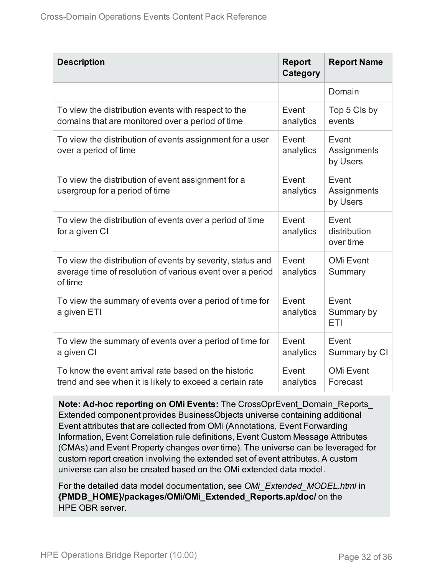| <b>Description</b>                                                                                                                 | <b>Report</b><br>Category | <b>Report Name</b>                 |
|------------------------------------------------------------------------------------------------------------------------------------|---------------------------|------------------------------------|
|                                                                                                                                    |                           | Domain                             |
| To view the distribution events with respect to the<br>domains that are monitored over a period of time                            | Event<br>analytics        | Top 5 Cls by<br>events             |
| To view the distribution of events assignment for a user<br>over a period of time                                                  | Event<br>analytics        | Event<br>Assignments<br>by Users   |
| To view the distribution of event assignment for a<br>usergroup for a period of time                                               | Event<br>analytics        | Event<br>Assignments<br>by Users   |
| To view the distribution of events over a period of time<br>for a given CI                                                         | Event<br>analytics        | Event<br>distribution<br>over time |
| To view the distribution of events by severity, status and<br>average time of resolution of various event over a period<br>of time | Event<br>analytics        | <b>OMi Event</b><br>Summary        |
| To view the summary of events over a period of time for<br>a given ETI                                                             | Event<br>analytics        | Event<br>Summary by<br>ETI         |
| To view the summary of events over a period of time for<br>a given CI                                                              | Event<br>analytics        | Event<br>Summary by CI             |
| To know the event arrival rate based on the historic<br>trend and see when it is likely to exceed a certain rate                   | Event<br>analytics        | <b>OMi Event</b><br>Forecast       |

**Note: Ad-hoc reporting on OMi Events:** The CrossOprEvent\_Domain\_Reports\_ Extended component provides BusinessObjects universe containing additional Event attributes that are collected from OMi (Annotations, Event Forwarding Information, Event Correlation rule definitions, Event Custom Message Attributes (CMAs) and Event Property changes over time). The universe can be leveraged for custom report creation involving the extended set of event attributes. A custom universe can also be created based on the OMi extended data model.

For the detailed data model documentation, see *OMi\_Extended\_MODEL.html* in **{PMDB\_HOME}/packages/OMi/OMi\_Extended\_Reports.ap/doc/** on the HPE OBR server.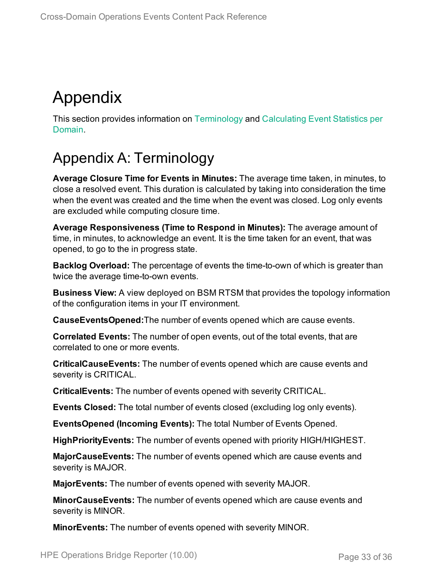# <span id="page-32-0"></span>Appendix

This section provides information on [Terminology](#page-32-1) and [Calculating](#page-33-0) Event Statistics per [Domain.](#page-33-0)

## <span id="page-32-1"></span>Appendix A: Terminology

**Average Closure Time for Events in Minutes:** The average time taken, in minutes, to close a resolved event. This duration is calculated by taking into consideration the time when the event was created and the time when the event was closed. Log only events are excluded while computing closure time.

**Average Responsiveness (Time to Respond in Minutes):** The average amount of time, in minutes, to acknowledge an event. It is the time taken for an event, that was opened, to go to the in progress state.

**Backlog Overload:** The percentage of events the time-to-own of which is greater than twice the average time-to-own events.

**Business View:** A view deployed on BSM RTSM that provides the topology information of the configuration items in your IT environment.

**CauseEventsOpened:**The number of events opened which are cause events.

**Correlated Events:** The number of open events, out of the total events, that are correlated to one or more events.

**CriticalCauseEvents:** The number of events opened which are cause events and severity is CRITICAL.

**CriticalEvents:** The number of events opened with severity CRITICAL.

**Events Closed:** The total number of events closed (excluding log only events).

**EventsOpened (Incoming Events):** The total Number of Events Opened.

**HighPriorityEvents:** The number of events opened with priority HIGH/HIGHEST.

**MajorCauseEvents:** The number of events opened which are cause events and severity is MAJOR.

**MajorEvents:** The number of events opened with severity MAJOR.

**MinorCauseEvents:** The number of events opened which are cause events and severity is MINOR.

**MinorEvents:** The number of events opened with severity MINOR.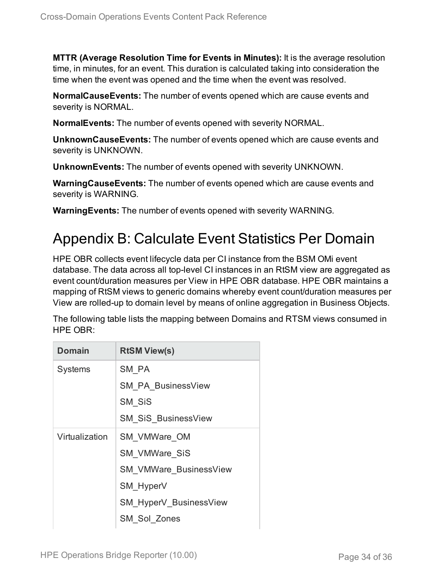**MTTR (Average Resolution Time for Events in Minutes):** It is the average resolution time, in minutes, for an event. This duration is calculated taking into consideration the time when the event was opened and the time when the event was resolved.

**NormalCauseEvents:** The number of events opened which are cause events and severity is NORMAL.

**NormalEvents:** The number of events opened with severity NORMAL.

**UnknownCauseEvents:** The number of events opened which are cause events and severity is UNKNOWN.

**UnknownEvents:** The number of events opened with severity UNKNOWN.

**WarningCauseEvents:** The number of events opened which are cause events and severity is WARNING.

<span id="page-33-0"></span>**WarningEvents:** The number of events opened with severity WARNING.

## Appendix B: Calculate Event Statistics Per Domain

HPE OBR collects event lifecycle data per CI instance from the BSM OMi event database. The data across all top-level CI instances in an RtSM view are aggregated as event count/duration measures per View in HPE OBR database. HPE OBR maintains a mapping of RtSM views to generic domains whereby event count/duration measures per View are rolled-up to domain level by means of online aggregation in Business Objects.

The following table lists the mapping between Domains and RTSM views consumed in HPE OBR:

| <b>Domain</b>  | <b>RtSM View(s)</b>           |
|----------------|-------------------------------|
| <b>Systems</b> | SM PA                         |
|                | <b>SM PA BusinessView</b>     |
|                | SM SiS                        |
|                | <b>SM SiS BusinessView</b>    |
| Virtualization | SM VMWare OM                  |
|                | <b>SM VMWare SiS</b>          |
|                | <b>SM VMWare BusinessView</b> |
|                | SM HyperV                     |
|                | SM_HyperV_BusinessView        |
|                | <b>SM Sol Zones</b>           |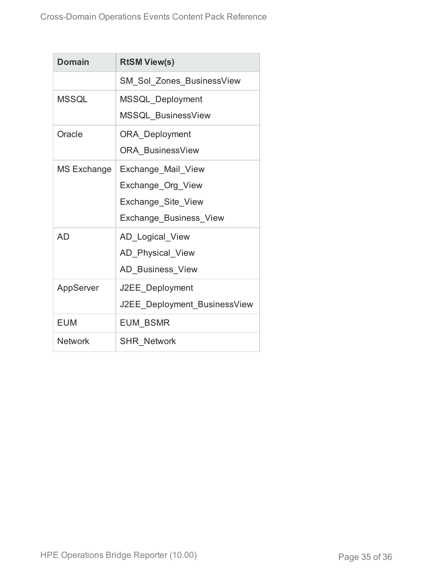| <b>Domain</b>  | <b>RtSM View(s)</b>          |
|----------------|------------------------------|
|                | SM_Sol_Zones_BusinessView    |
| <b>MSSQL</b>   | MSSQL_Deployment             |
|                | MSSQL BusinessView           |
| Oracle         | <b>ORA</b> Deployment        |
|                | <b>ORA BusinessView</b>      |
| MS Exchange    | Exchange_Mail_View           |
|                | Exchange_Org_View            |
|                | Exchange_Site_View           |
|                | Exchange_Business_View       |
| <b>AD</b>      | AD_Logical_View              |
|                | AD Physical View             |
|                | AD_Business_View             |
| AppServer      | J2EE Deployment              |
|                | J2EE Deployment BusinessView |
| <b>EUM</b>     | <b>EUM BSMR</b>              |
| <b>Network</b> | <b>SHR Network</b>           |